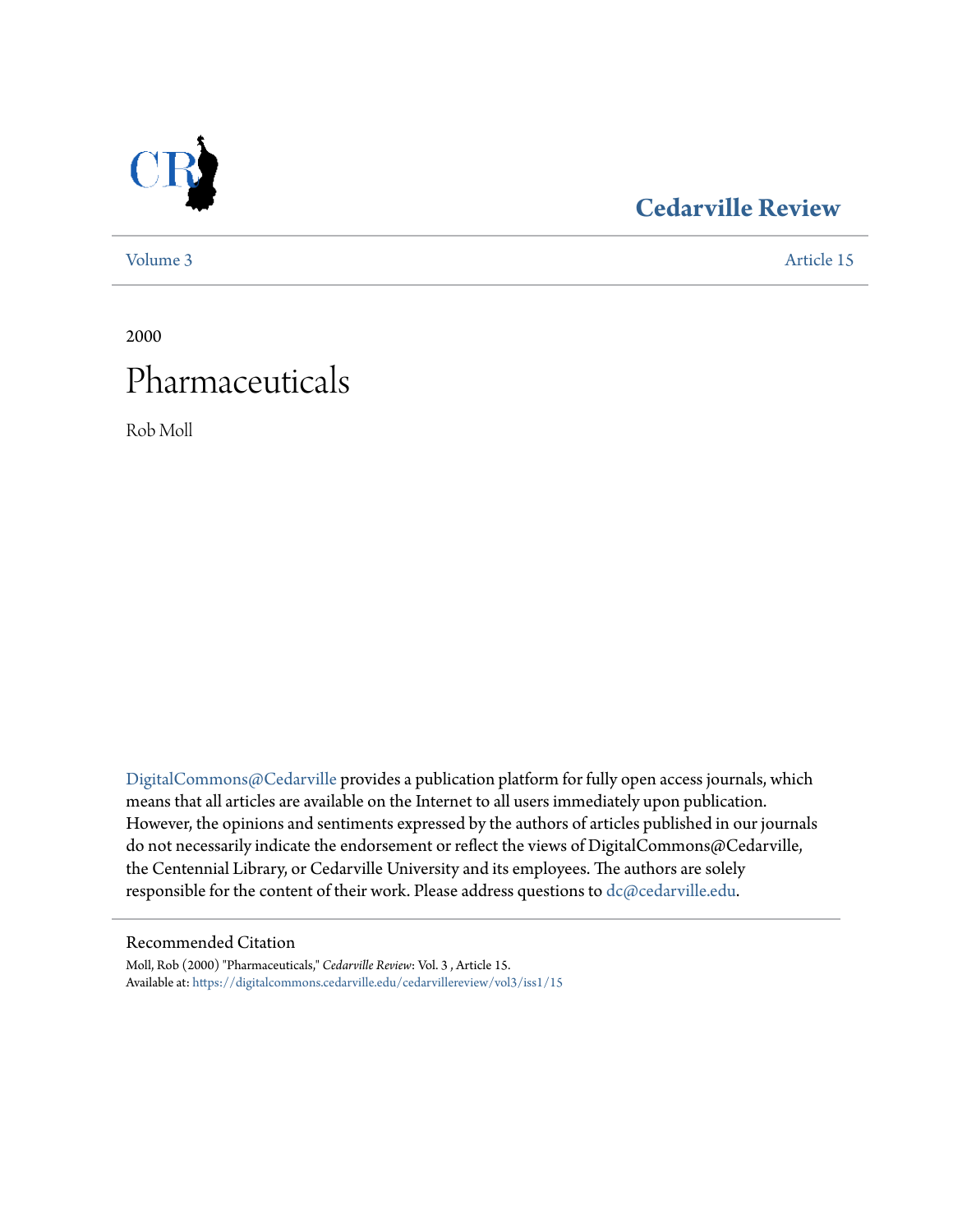

## **[Cedarville Review](https://digitalcommons.cedarville.edu/cedarvillereview?utm_source=digitalcommons.cedarville.edu%2Fcedarvillereview%2Fvol3%2Fiss1%2F15&utm_medium=PDF&utm_campaign=PDFCoverPages)**

[Volume 3](https://digitalcommons.cedarville.edu/cedarvillereview/vol3?utm_source=digitalcommons.cedarville.edu%2Fcedarvillereview%2Fvol3%2Fiss1%2F15&utm_medium=PDF&utm_campaign=PDFCoverPages) [Article 15](https://digitalcommons.cedarville.edu/cedarvillereview/vol3/iss1/15?utm_source=digitalcommons.cedarville.edu%2Fcedarvillereview%2Fvol3%2Fiss1%2F15&utm_medium=PDF&utm_campaign=PDFCoverPages)

2000 Pharmaceuticals

Rob Moll

[DigitalCommons@Cedarville](http://digitalcommons.cedarville.edu) provides a publication platform for fully open access journals, which means that all articles are available on the Internet to all users immediately upon publication. However, the opinions and sentiments expressed by the authors of articles published in our journals do not necessarily indicate the endorsement or reflect the views of DigitalCommons@Cedarville, the Centennial Library, or Cedarville University and its employees. The authors are solely responsible for the content of their work. Please address questions to [dc@cedarville.edu](mailto:dc@cedarville.edu).

#### Recommended Citation

Moll, Rob (2000) "Pharmaceuticals," *Cedarville Review*: Vol. 3 , Article 15. Available at: [https://digitalcommons.cedarville.edu/cedarvillereview/vol3/iss1/15](https://digitalcommons.cedarville.edu/cedarvillereview/vol3/iss1/15?utm_source=digitalcommons.cedarville.edu%2Fcedarvillereview%2Fvol3%2Fiss1%2F15&utm_medium=PDF&utm_campaign=PDFCoverPages)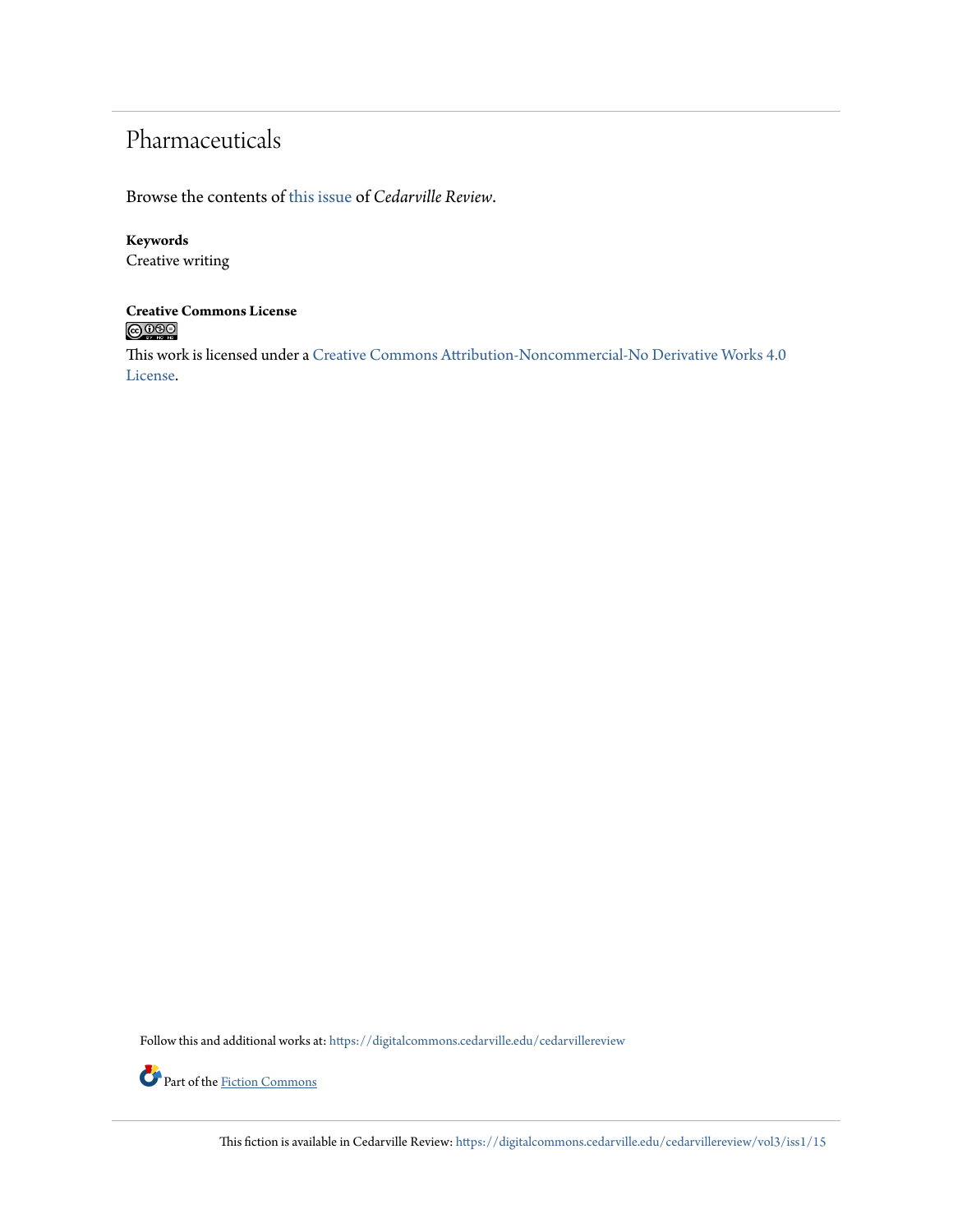## Pharmaceuticals

Browse the contents of [this issue](https://digitalcommons.cedarville.edu/cedarvillereview/vol3/iss1) of *Cedarville Review*.

#### **Keywords**

Creative writing

# **Creative Commons License**

This work is licensed under a [Creative Commons Attribution-Noncommercial-No Derivative Works 4.0](http://creativecommons.org/licenses/by-nc-nd/4.0/) [License.](http://creativecommons.org/licenses/by-nc-nd/4.0/)

Follow this and additional works at: [https://digitalcommons.cedarville.edu/cedarvillereview](https://digitalcommons.cedarville.edu/cedarvillereview?utm_source=digitalcommons.cedarville.edu%2Fcedarvillereview%2Fvol3%2Fiss1%2F15&utm_medium=PDF&utm_campaign=PDFCoverPages)



Part of the [Fiction Commons](http://network.bepress.com/hgg/discipline/1151?utm_source=digitalcommons.cedarville.edu%2Fcedarvillereview%2Fvol3%2Fiss1%2F15&utm_medium=PDF&utm_campaign=PDFCoverPages)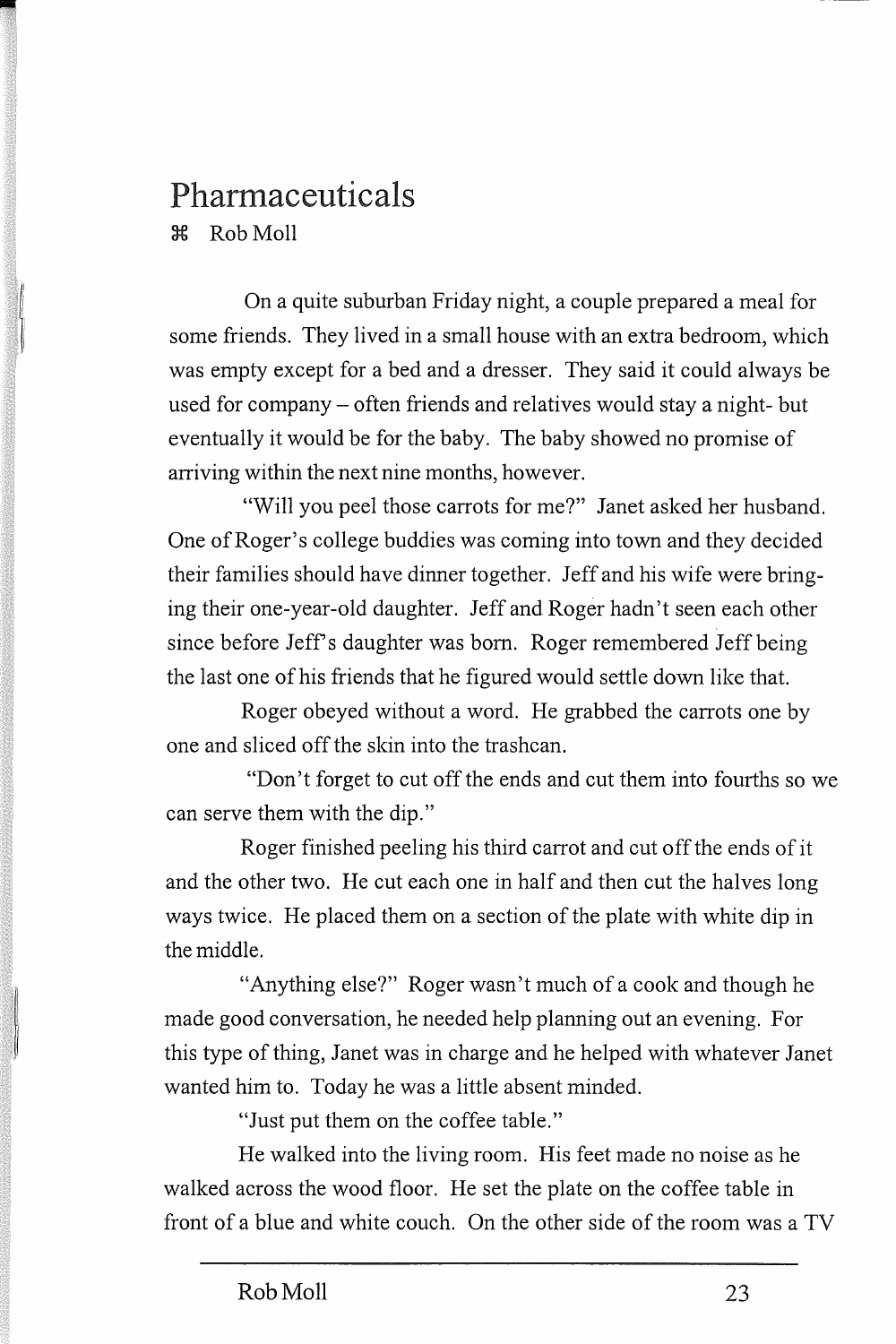### Pharmaceuticals 3:€ Rob Moll

On a quite suburban Friday night, a couple prepared a meal for some friends. They lived in a small house with an extra bedroom, which was empty except for a bed and a dresser. They said it could always be used for company - often friends and relatives would stay a night- but eventually it would be for the baby. The baby showed no promise of arriving within the next nine months, however.

"Will you peel those carrots for me?" Janet asked her husband. One of Roger's college buddies was coming into town and they decided their families should have dinner together. Jeff and his wife were bringing their one-year-old daughter. Jeff and Roger hadn't seen each other since before Jeff's daughter was born. Roger remembered Jeff being the last one of his friends that he figured would settle down like that.

Roger obeyed without a word. He grabbed the carrots one by one and sliced off the skin into the trashcan.

"Don't forget to cut off the ends and cut them into fourths so we can serve them with the dip."

Roger finished peeling his third carrot and cut off the ends of it and the other two. He cut each one in half and then cut the halves long ways twice. He placed them on a section of the plate with white dip in the middle.

"Anything else?" Roger wasn't much of a cook and though he made good conversation, he needed help planning out an evening. For this type of thing, Janet was in charge and he helped with whatever Janet wanted him to. Today he was a little absent minded.

"Just put them on the coffee table."

He walked into the living room. His feet made no noise as he walked across the wood floor. He set the plate on the coffee table in front of a blue and white couch. On the other side of the room was a TV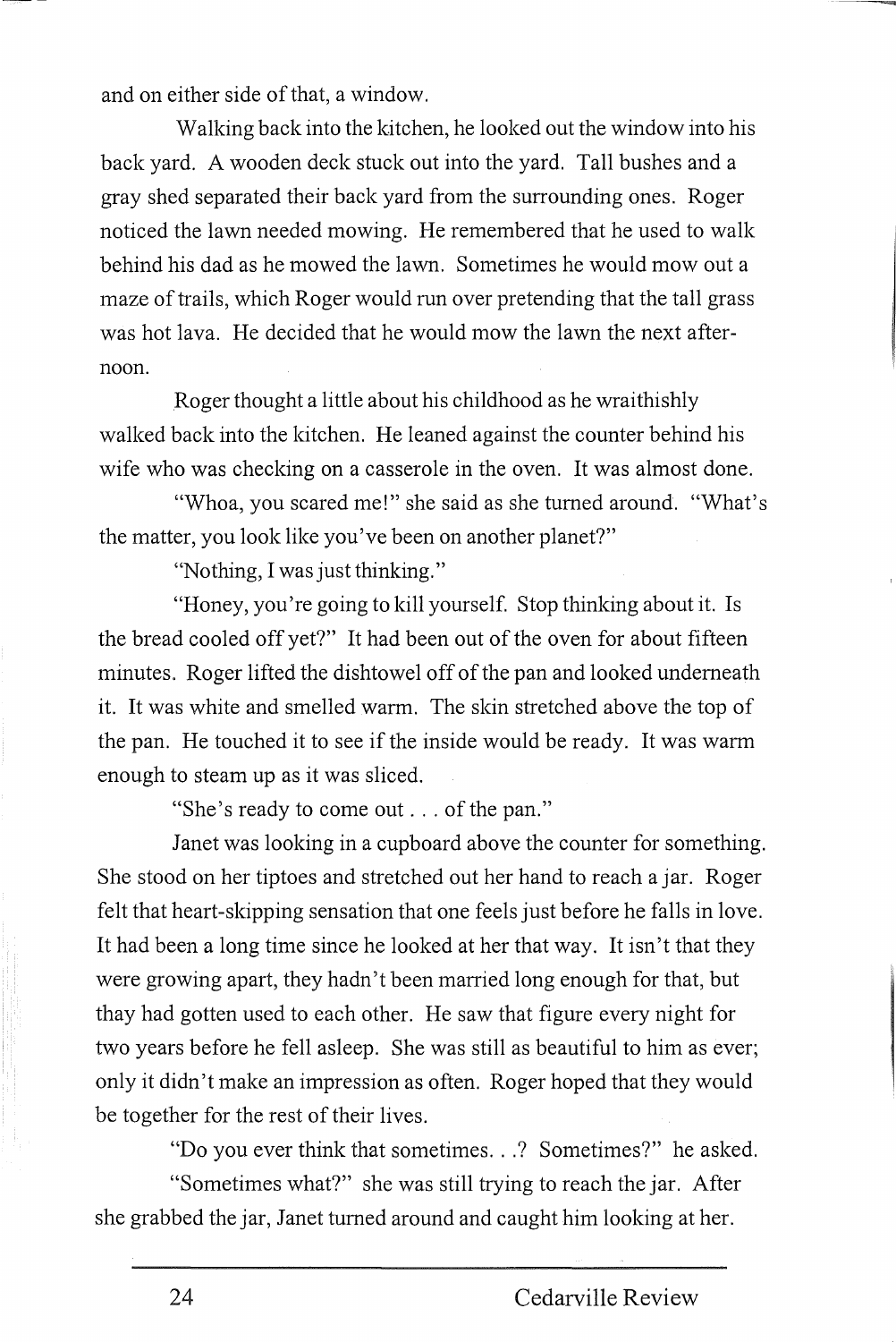and on either side of that, a window.

Walking back into the kitchen, he looked out the window into his back yard. A wooden deck stuck out into the yard. Tall bushes and a gray shed separated their back yard from the surrounding ones. Roger noticed the lawn needed mowing. He remembered that he used to walk behind his dad as he mowed the lawn. Sometimes he would mow out a maze of trails, which Roger would run over pretending that the tall grass was hot lava. He decided that he would mow the lawn the *next* afternoon.

Roger thought a little about his childhood as he wraithishly walked back into the kitchen. He leaned against the counter behind his wife who was checking on a casserole in the oven. It was almost done.

"Whoa, you scared me!" she said as she turned around. "What's the matter, you look like you've been on another planet?"

"Nothing, I was just thinking."

"Honey, you're going to kill yourself. Stop thinking about it. Is the bread cooled off yet?" It had been out of the oven for about fifteen minutes. Roger lifted the dishtowel off of the pan and looked underneath it. It was white and smelled warm. The skin stretched above the top of the pan. He touched it to see if the inside would be ready. It was warm enough to steam up as it was sliced.

"She's ready to come out ... of the pan."

Janet was looking in a cupboard above the counter for something. She stood on her tiptoes and stretched out her hand to reach a jar. Roger felt that heart-skipping sensation that one feels just before he falls in love. It had been a long time since he looked at her that way. It isn't that they were growing apart, they hadn't been married long enough for that, but thay had gotten used to each other. He saw that figure every night for two years before he fell asleep. She was still as beautiful to him as ever; only it didn't make an impression as often. Roger hoped that they would be together for the rest of their lives.

"Do you ever think that sometimes ... ? Sometimes?" he asked.

"Sometimes what?" she was still trying to reach the jar. After she grabbed the jar, Janet turned around and caught him looking at her.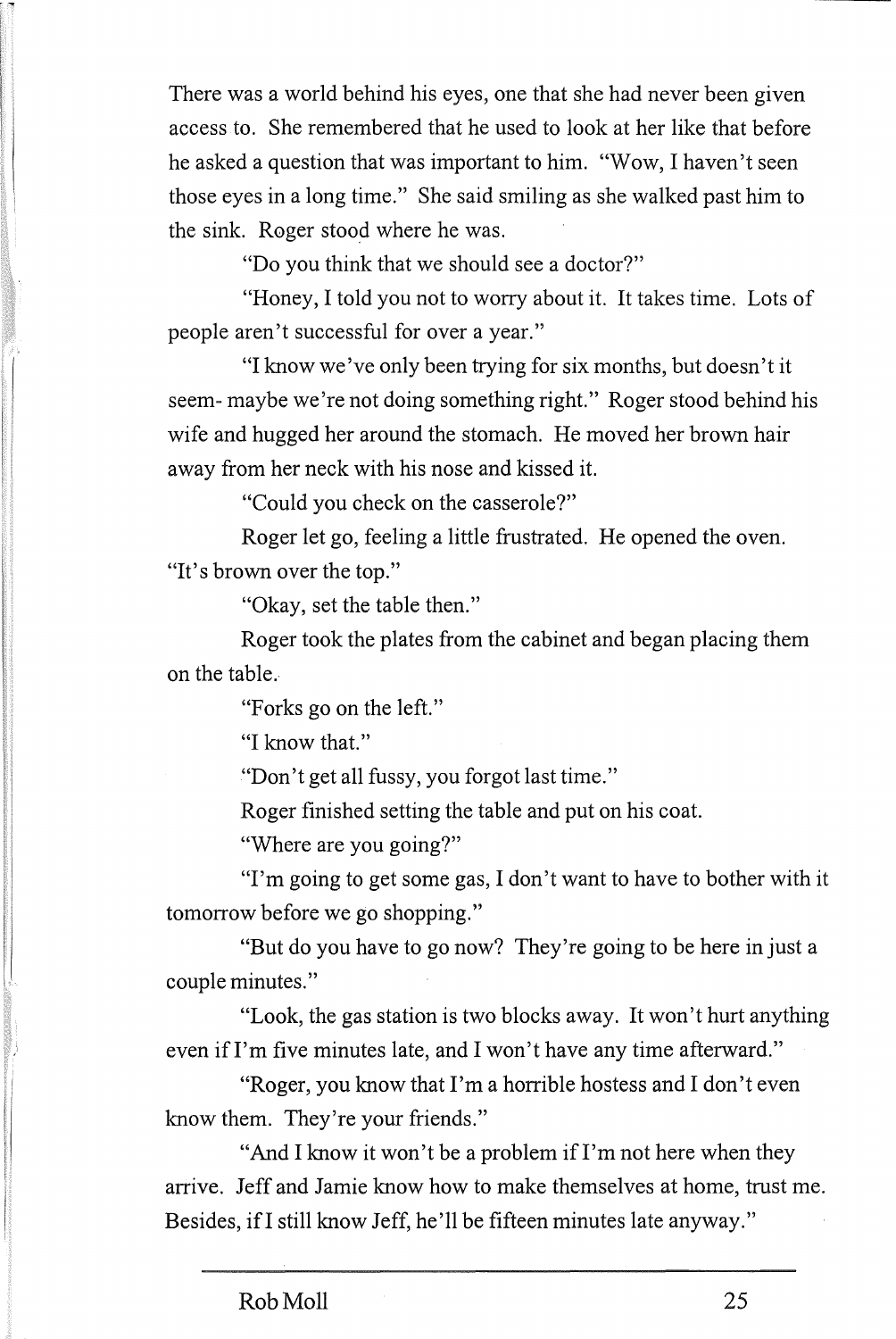There was a world behind his eyes, one that she had never been given access to. She remembered that he used to look at her like that before he asked a question that was important to him. "Wow, I haven't seen those eyes in a long time." She said smiling as she walked past him to the sink. Roger stood where he was.

"Do you think that we should see a doctor?"

"Honey, I told you not to worry about it. It takes time. Lots of people aren't successful for over a year."

"I know we've only been trying for six months, but doesn't it seem- maybe we're not doing something right." Roger stood behind his wife and hugged her around the stomach. He moved her brown hair away from her neck with his nose and kissed it.

"Could you check on the casserole?"

Roger let go, feeling a little frustrated. He opened the oven. "It's brown over the top."

"Okay, set the table then."

Roger took the plates from the cabinet and began placing them on the table.

"Forks go on the left."

"I know that."

"Don't get all fussy, you forgot last time."

Roger finished setting the table and put on his coat.

"Where are you going?"

"I'm going to get some gas, I don't want to have to bother with it tomorrow before we go shopping."

"But do you have to go now? They're going to be here in just a couple minutes."

"Look, the gas station is two blocks away. It won't hurt anything even if I'm five minutes late, and I won't have any time afterward."

"Roger, you know that I'm a horrible hostess and I don't even know them. They're your friends."

"And I know it won't be a problem if I'm not here when they arrive. Jeff and Jamie know how to make themselves at home, trust me. Besides, ifl still know Jeff, he'll be fifteen minutes late anyway."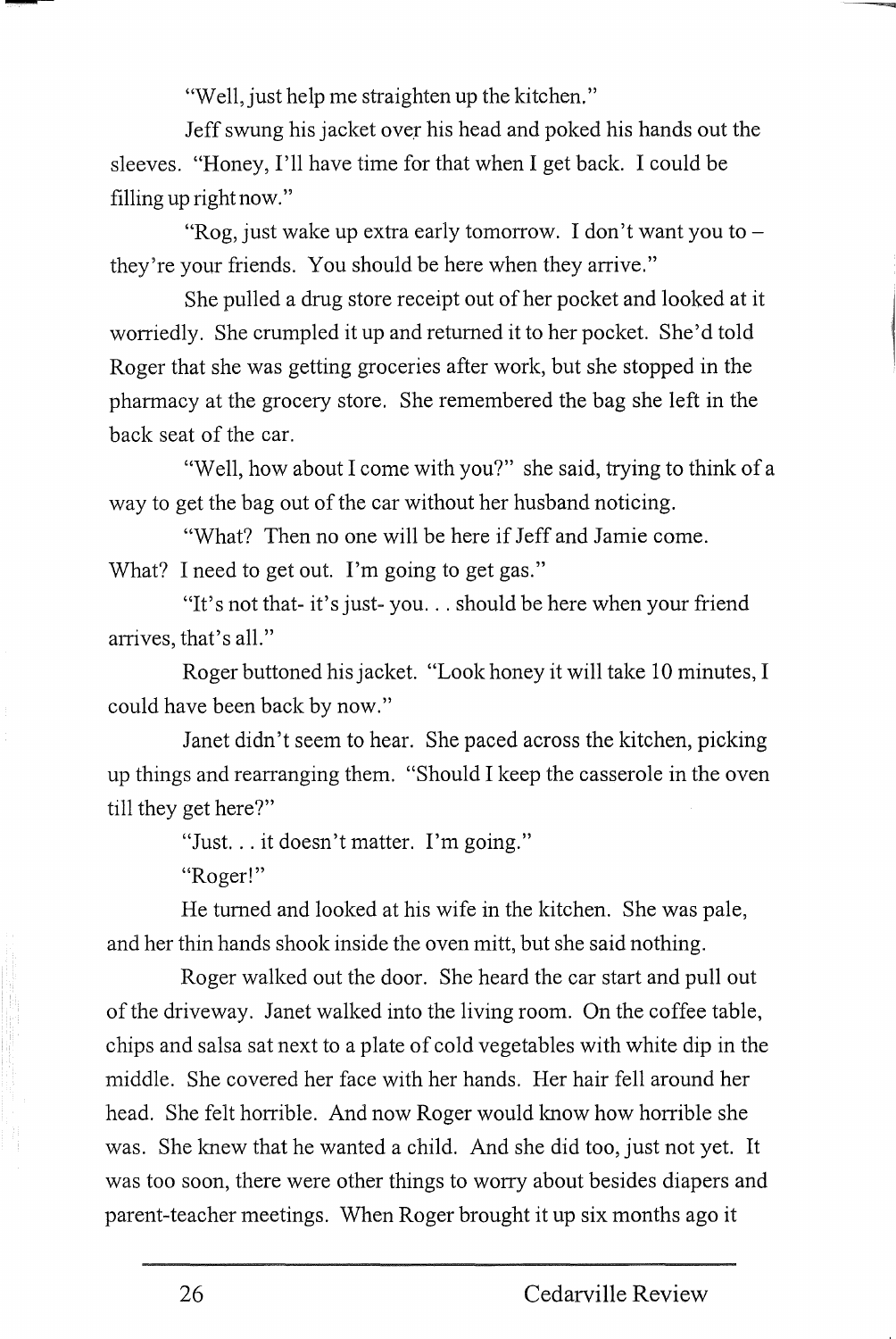"Well, just help me straighten up the kitchen."

Jeff swung his jacket over his head and poked his hands out the sleeves. "Honey, I'll have time for that when I get back. I could be filling up right now."

"Rog, just wake up extra early tomorrow. I don't want you to  $$ they're your friends. You should be here when they arrive."

She pulled a drug store receipt out of her pocket and looked at it worriedly. She crumpled it up and returned it to her pocket. She'd told Roger that she was getting groceries after work, but she stopped in the pharmacy at the grocery store. She remembered the bag she left in the back seat of the car.

"Well, how about I come with you?" she said, trying to think of a way to get the bag out of the car without her husband noticing.

"What? Then no one will be here if Jeff and Jamie come. What? I need to get out. I'm going to get gas."

"It's not that- it's just-you ... should be here when your friend arrives, that's all."

Roger buttoned his jacket. "Look honey it will take 10 minutes, I could have been back by now."

Janet didn't seem to hear. She paced across the kitchen, picking up things and rearranging them. "Should I keep the casserole in the oven till they get here?"

"Just. .. it doesn't matter. I'm going."

"Roger!"

He turned and looked at his wife in the kitchen. She was pale, and her thin hands shook inside the oven mitt, but she said nothing.

Roger walked out the door. She heard the car start and pull out of the driveway. Janet walked into the living room. On the coffee table, chips and salsa sat next to a plate of cold vegetables with white dip in the middle. She covered her face with her hands. Her hair fell around her head. She felt horrible. And now Roger would know how horrible she was. She knew that he wanted a child. And she did too, just not yet. It was too soon, there were other things to worry about besides diapers and parent-teacher meetings. When Roger brought it up six months ago it